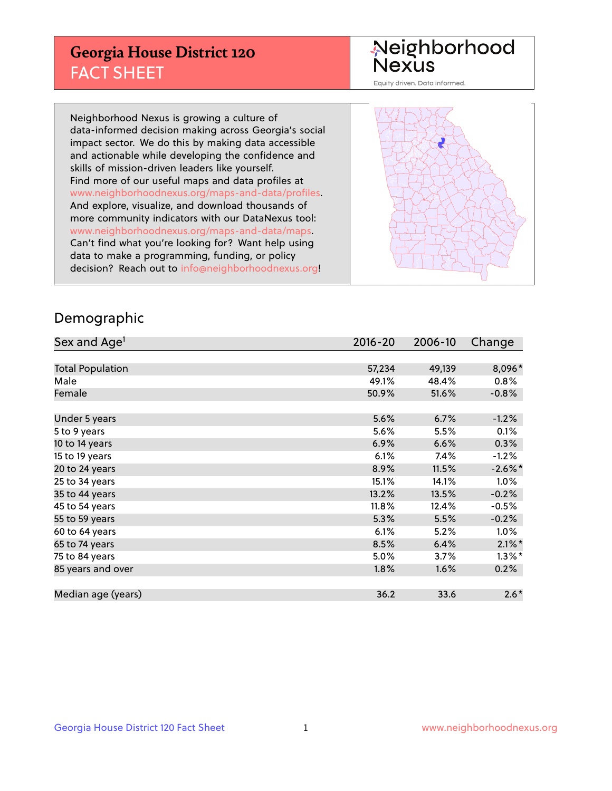## **Georgia House District 120** FACT SHEET

# Neighborhood<br>Nexus

Equity driven. Data informed.

Neighborhood Nexus is growing a culture of data-informed decision making across Georgia's social impact sector. We do this by making data accessible and actionable while developing the confidence and skills of mission-driven leaders like yourself. Find more of our useful maps and data profiles at www.neighborhoodnexus.org/maps-and-data/profiles. And explore, visualize, and download thousands of more community indicators with our DataNexus tool: www.neighborhoodnexus.org/maps-and-data/maps. Can't find what you're looking for? Want help using data to make a programming, funding, or policy decision? Reach out to [info@neighborhoodnexus.org!](mailto:info@neighborhoodnexus.org)



### Demographic

| Sex and Age <sup>1</sup> | $2016 - 20$ | 2006-10 | Change     |
|--------------------------|-------------|---------|------------|
|                          |             |         |            |
| <b>Total Population</b>  | 57,234      | 49,139  | 8,096*     |
| Male                     | 49.1%       | 48.4%   | 0.8%       |
| Female                   | 50.9%       | 51.6%   | $-0.8%$    |
|                          |             |         |            |
| Under 5 years            | 5.6%        | 6.7%    | $-1.2%$    |
| 5 to 9 years             | 5.6%        | 5.5%    | 0.1%       |
| 10 to 14 years           | 6.9%        | 6.6%    | 0.3%       |
| 15 to 19 years           | 6.1%        | 7.4%    | $-1.2%$    |
| 20 to 24 years           | 8.9%        | 11.5%   | $-2.6\%$ * |
| 25 to 34 years           | 15.1%       | 14.1%   | 1.0%       |
| 35 to 44 years           | 13.2%       | 13.5%   | $-0.2%$    |
| 45 to 54 years           | 11.8%       | 12.4%   | $-0.5%$    |
| 55 to 59 years           | 5.3%        | 5.5%    | $-0.2%$    |
| 60 to 64 years           | 6.1%        | 5.2%    | $1.0\%$    |
| 65 to 74 years           | 8.5%        | 6.4%    | $2.1\%$ *  |
| 75 to 84 years           | $5.0\%$     | 3.7%    | $1.3\%$ *  |
| 85 years and over        | 1.8%        | 1.6%    | 0.2%       |
|                          |             |         |            |
| Median age (years)       | 36.2        | 33.6    | $2.6*$     |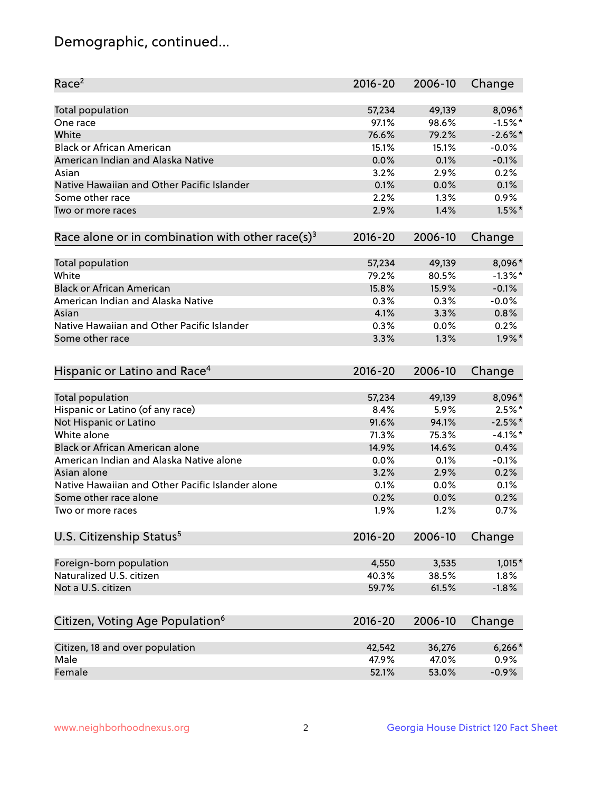## Demographic, continued...

| Race <sup>2</sup>                                            | $2016 - 20$ | 2006-10 | Change     |
|--------------------------------------------------------------|-------------|---------|------------|
| <b>Total population</b>                                      | 57,234      | 49,139  | 8,096*     |
| One race                                                     | 97.1%       | 98.6%   | $-1.5%$ *  |
| White                                                        | 76.6%       | 79.2%   | $-2.6\%$ * |
| <b>Black or African American</b>                             | 15.1%       | 15.1%   | $-0.0%$    |
| American Indian and Alaska Native                            | 0.0%        | 0.1%    | $-0.1%$    |
| Asian                                                        | 3.2%        | 2.9%    | 0.2%       |
| Native Hawaiian and Other Pacific Islander                   | 0.1%        | 0.0%    | 0.1%       |
| Some other race                                              | 2.2%        | 1.3%    | 0.9%       |
| Two or more races                                            | 2.9%        | 1.4%    | $1.5\%$ *  |
| Race alone or in combination with other race(s) <sup>3</sup> | $2016 - 20$ | 2006-10 | Change     |
| Total population                                             | 57,234      | 49,139  | 8,096*     |
| White                                                        | 79.2%       | 80.5%   | $-1.3\%$ * |
| <b>Black or African American</b>                             | 15.8%       | 15.9%   | $-0.1%$    |
| American Indian and Alaska Native                            | 0.3%        | 0.3%    | $-0.0%$    |
| Asian                                                        | 4.1%        | 3.3%    | 0.8%       |
| Native Hawaiian and Other Pacific Islander                   | 0.3%        | 0.0%    | 0.2%       |
| Some other race                                              | 3.3%        | 1.3%    | $1.9\%$ *  |
| Hispanic or Latino and Race <sup>4</sup>                     | $2016 - 20$ | 2006-10 | Change     |
| <b>Total population</b>                                      | 57,234      | 49,139  | 8,096*     |
| Hispanic or Latino (of any race)                             | 8.4%        | 5.9%    | $2.5%$ *   |
| Not Hispanic or Latino                                       | 91.6%       | 94.1%   | $-2.5%$ *  |
| White alone                                                  | 71.3%       | 75.3%   | $-4.1%$ *  |
| Black or African American alone                              | 14.9%       | 14.6%   | 0.4%       |
| American Indian and Alaska Native alone                      | 0.0%        | 0.1%    | $-0.1%$    |
| Asian alone                                                  | 3.2%        | 2.9%    | 0.2%       |
| Native Hawaiian and Other Pacific Islander alone             | 0.1%        | 0.0%    | 0.1%       |
| Some other race alone                                        | 0.2%        | 0.0%    | 0.2%       |
| Two or more races                                            | 1.9%        | 1.2%    | 0.7%       |
| U.S. Citizenship Status <sup>5</sup>                         | $2016 - 20$ | 2006-10 | Change     |
| Foreign-born population                                      | 4,550       | 3,535   | $1,015*$   |
| Naturalized U.S. citizen                                     | 40.3%       | 38.5%   | 1.8%       |
| Not a U.S. citizen                                           | 59.7%       | 61.5%   | $-1.8%$    |
|                                                              |             |         |            |
| Citizen, Voting Age Population <sup>6</sup>                  | $2016 - 20$ | 2006-10 | Change     |
| Citizen, 18 and over population                              | 42,542      | 36,276  | $6,266*$   |
| Male                                                         | 47.9%       | 47.0%   | 0.9%       |
| Female                                                       | 52.1%       | 53.0%   | $-0.9%$    |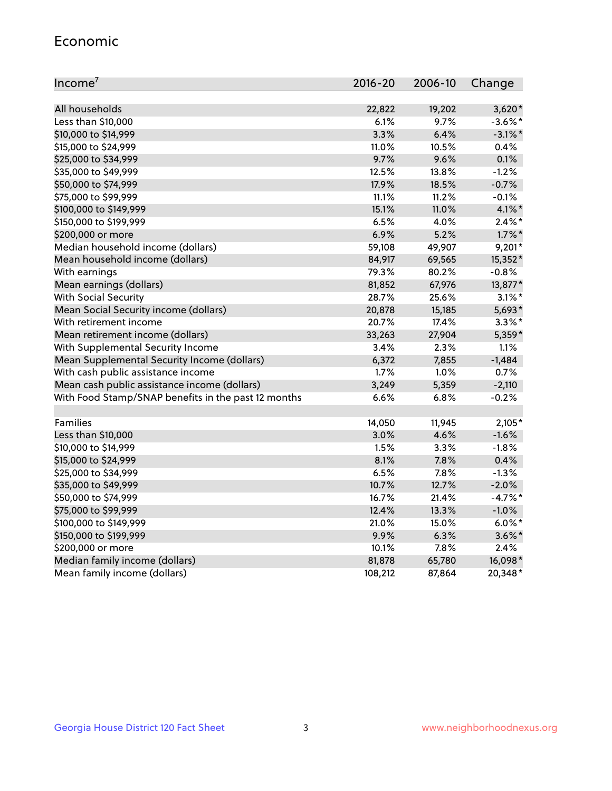#### Economic

| Income <sup>7</sup>                                 | $2016 - 20$ | 2006-10 | Change     |
|-----------------------------------------------------|-------------|---------|------------|
|                                                     |             |         |            |
| All households                                      | 22,822      | 19,202  | $3,620*$   |
| Less than \$10,000                                  | 6.1%        | 9.7%    | $-3.6\%$ * |
| \$10,000 to \$14,999                                | 3.3%        | 6.4%    | $-3.1\%$ * |
| \$15,000 to \$24,999                                | 11.0%       | 10.5%   | 0.4%       |
| \$25,000 to \$34,999                                | 9.7%        | 9.6%    | 0.1%       |
| \$35,000 to \$49,999                                | 12.5%       | 13.8%   | $-1.2%$    |
| \$50,000 to \$74,999                                | 17.9%       | 18.5%   | $-0.7%$    |
| \$75,000 to \$99,999                                | 11.1%       | 11.2%   | $-0.1%$    |
| \$100,000 to \$149,999                              | 15.1%       | 11.0%   | $4.1\%$ *  |
| \$150,000 to \$199,999                              | 6.5%        | 4.0%    | $2.4\%$ *  |
| \$200,000 or more                                   | 6.9%        | 5.2%    | $1.7\%$ *  |
| Median household income (dollars)                   | 59,108      | 49,907  | $9,201*$   |
| Mean household income (dollars)                     | 84,917      | 69,565  | 15,352*    |
| With earnings                                       | 79.3%       | 80.2%   | $-0.8%$    |
| Mean earnings (dollars)                             | 81,852      | 67,976  | 13,877*    |
| <b>With Social Security</b>                         | 28.7%       | 25.6%   | $3.1\%$ *  |
| Mean Social Security income (dollars)               | 20,878      | 15,185  | 5,693*     |
| With retirement income                              | 20.7%       | 17.4%   | $3.3\%$ *  |
| Mean retirement income (dollars)                    | 33,263      | 27,904  | 5,359*     |
| With Supplemental Security Income                   | 3.4%        | 2.3%    | 1.1%       |
| Mean Supplemental Security Income (dollars)         | 6,372       | 7,855   | $-1,484$   |
| With cash public assistance income                  | 1.7%        | 1.0%    | 0.7%       |
| Mean cash public assistance income (dollars)        | 3,249       | 5,359   | $-2,110$   |
| With Food Stamp/SNAP benefits in the past 12 months | 6.6%        | 6.8%    | $-0.2%$    |
|                                                     |             |         |            |
| Families                                            | 14,050      | 11,945  | $2,105*$   |
| Less than \$10,000                                  | 3.0%        | 4.6%    | $-1.6%$    |
| \$10,000 to \$14,999                                | 1.5%        | 3.3%    | $-1.8%$    |
| \$15,000 to \$24,999                                | 8.1%        | 7.8%    | 0.4%       |
| \$25,000 to \$34,999                                | 6.5%        | 7.8%    | $-1.3%$    |
| \$35,000 to \$49,999                                | 10.7%       | 12.7%   | $-2.0%$    |
| \$50,000 to \$74,999                                | 16.7%       | 21.4%   | $-4.7%$ *  |
| \$75,000 to \$99,999                                | 12.4%       | 13.3%   | $-1.0%$    |
| \$100,000 to \$149,999                              | 21.0%       | 15.0%   | $6.0\%$ *  |
| \$150,000 to \$199,999                              | 9.9%        | 6.3%    | $3.6\%$ *  |
| \$200,000 or more                                   | 10.1%       | 7.8%    | 2.4%       |
| Median family income (dollars)                      | 81,878      | 65,780  | 16,098*    |
| Mean family income (dollars)                        | 108,212     | 87,864  | 20,348*    |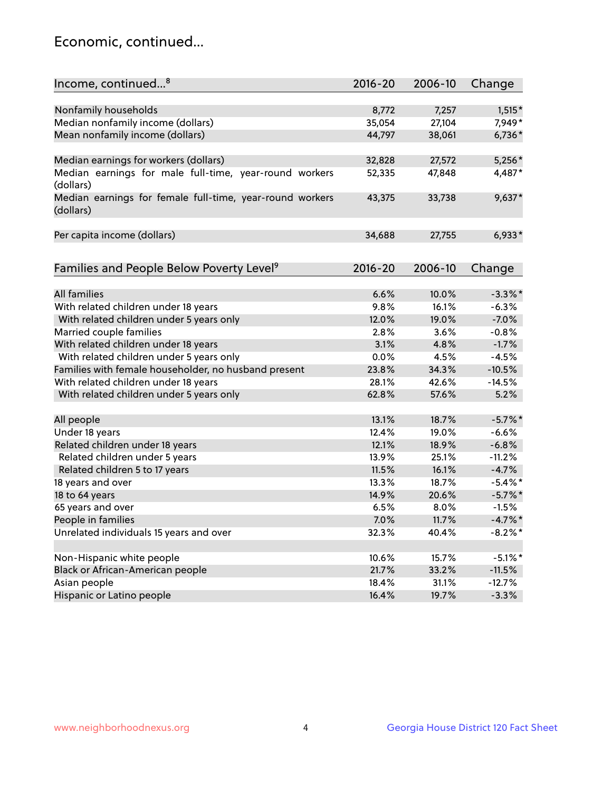## Economic, continued...

| Income, continued <sup>8</sup>                                        | $2016 - 20$ | 2006-10 | Change     |
|-----------------------------------------------------------------------|-------------|---------|------------|
|                                                                       |             |         |            |
| Nonfamily households                                                  | 8,772       | 7,257   | $1,515*$   |
| Median nonfamily income (dollars)                                     | 35,054      | 27,104  | 7,949*     |
| Mean nonfamily income (dollars)                                       | 44,797      | 38,061  | 6,736*     |
| Median earnings for workers (dollars)                                 | 32,828      | 27,572  | $5,256*$   |
| Median earnings for male full-time, year-round workers<br>(dollars)   | 52,335      | 47,848  | 4,487*     |
| Median earnings for female full-time, year-round workers<br>(dollars) | 43,375      | 33,738  | $9,637*$   |
| Per capita income (dollars)                                           | 34,688      | 27,755  | $6,933*$   |
| Families and People Below Poverty Level <sup>9</sup>                  | $2016 - 20$ | 2006-10 | Change     |
|                                                                       |             |         |            |
| <b>All families</b>                                                   | 6.6%        | 10.0%   | $-3.3\%$ * |
| With related children under 18 years                                  | 9.8%        | 16.1%   | $-6.3%$    |
| With related children under 5 years only                              | 12.0%       | 19.0%   | $-7.0%$    |
| Married couple families                                               | 2.8%        | 3.6%    | $-0.8%$    |
| With related children under 18 years                                  | 3.1%        | 4.8%    | $-1.7%$    |
| With related children under 5 years only                              | 0.0%        | 4.5%    | $-4.5%$    |
| Families with female householder, no husband present                  | 23.8%       | 34.3%   | $-10.5%$   |
| With related children under 18 years                                  | 28.1%       | 42.6%   | $-14.5%$   |
| With related children under 5 years only                              | 62.8%       | 57.6%   | 5.2%       |
| All people                                                            | 13.1%       | 18.7%   | $-5.7\%$ * |
| Under 18 years                                                        | 12.4%       | 19.0%   | $-6.6%$    |
| Related children under 18 years                                       | 12.1%       | 18.9%   | $-6.8%$    |
| Related children under 5 years                                        | 13.9%       | 25.1%   | $-11.2%$   |
| Related children 5 to 17 years                                        | 11.5%       | 16.1%   | $-4.7%$    |
| 18 years and over                                                     | 13.3%       | 18.7%   | $-5.4\%$ * |
| 18 to 64 years                                                        | 14.9%       | 20.6%   | $-5.7\%$ * |
| 65 years and over                                                     | 6.5%        | 8.0%    | $-1.5%$    |
| People in families                                                    | 7.0%        | 11.7%   | $-4.7%$    |
| Unrelated individuals 15 years and over                               | 32.3%       | 40.4%   | $-8.2\%$ * |
|                                                                       |             |         |            |
| Non-Hispanic white people                                             | 10.6%       | 15.7%   | $-5.1\%$ * |
| Black or African-American people                                      | 21.7%       | 33.2%   | $-11.5%$   |
| Asian people                                                          | 18.4%       | 31.1%   | $-12.7%$   |
| Hispanic or Latino people                                             | 16.4%       | 19.7%   | $-3.3%$    |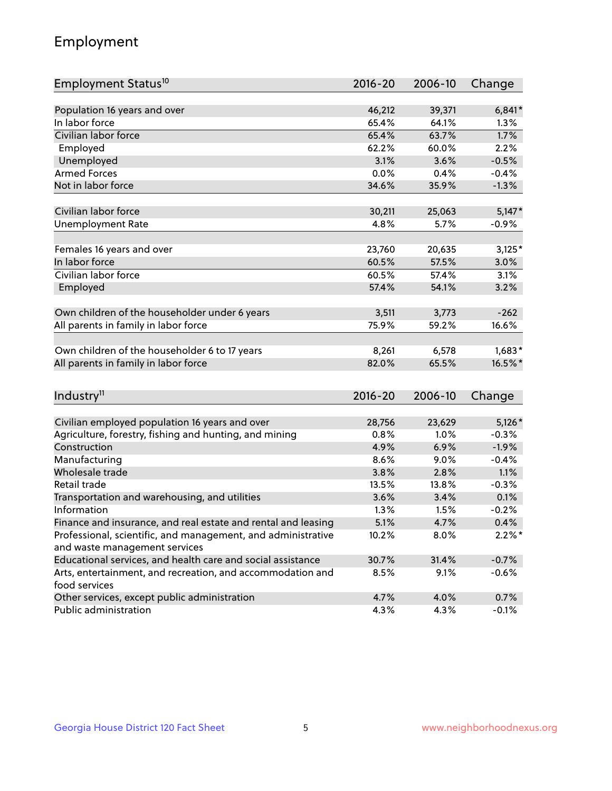## Employment

| Employment Status <sup>10</sup>                                             | $2016 - 20$ | 2006-10 | Change    |
|-----------------------------------------------------------------------------|-------------|---------|-----------|
|                                                                             |             |         |           |
| Population 16 years and over                                                | 46,212      | 39,371  | $6,841*$  |
| In labor force                                                              | 65.4%       | 64.1%   | 1.3%      |
| Civilian labor force                                                        | 65.4%       | 63.7%   | 1.7%      |
| Employed                                                                    | 62.2%       | 60.0%   | 2.2%      |
| Unemployed                                                                  | 3.1%        | 3.6%    | $-0.5%$   |
| <b>Armed Forces</b>                                                         | 0.0%        | 0.4%    | $-0.4%$   |
| Not in labor force                                                          | 34.6%       | 35.9%   | $-1.3%$   |
|                                                                             |             |         |           |
| Civilian labor force                                                        | 30,211      | 25,063  | $5,147*$  |
| <b>Unemployment Rate</b>                                                    | 4.8%        | 5.7%    | $-0.9%$   |
| Females 16 years and over                                                   | 23,760      | 20,635  | $3,125*$  |
| In labor force                                                              | 60.5%       | 57.5%   | 3.0%      |
| Civilian labor force                                                        | 60.5%       | 57.4%   | 3.1%      |
| Employed                                                                    | 57.4%       | 54.1%   | 3.2%      |
|                                                                             |             |         |           |
| Own children of the householder under 6 years                               | 3,511       | 3,773   | $-262$    |
| All parents in family in labor force                                        | 75.9%       | 59.2%   | 16.6%     |
|                                                                             |             |         |           |
| Own children of the householder 6 to 17 years                               | 8,261       | 6,578   | $1,683*$  |
| All parents in family in labor force                                        | 82.0%       | 65.5%   | 16.5%*    |
|                                                                             |             |         |           |
| Industry <sup>11</sup>                                                      | $2016 - 20$ | 2006-10 | Change    |
|                                                                             |             |         |           |
| Civilian employed population 16 years and over                              | 28,756      | 23,629  | $5,126*$  |
| Agriculture, forestry, fishing and hunting, and mining                      | 0.8%        | 1.0%    | $-0.3%$   |
| Construction                                                                | 4.9%        | 6.9%    | $-1.9%$   |
| Manufacturing                                                               | 8.6%        | 9.0%    | $-0.4%$   |
| Wholesale trade                                                             | 3.8%        | 2.8%    | 1.1%      |
| Retail trade                                                                | 13.5%       | 13.8%   | $-0.3%$   |
| Transportation and warehousing, and utilities                               | 3.6%        | 3.4%    | 0.1%      |
| Information                                                                 | 1.3%        | 1.5%    | $-0.2%$   |
| Finance and insurance, and real estate and rental and leasing               | 5.1%        | 4.7%    | 0.4%      |
| Professional, scientific, and management, and administrative                | 10.2%       | 8.0%    | $2.2\%$ * |
| and waste management services                                               |             |         |           |
| Educational services, and health care and social assistance                 | 30.7%       | 31.4%   | $-0.7%$   |
| Arts, entertainment, and recreation, and accommodation and<br>food services | 8.5%        | 9.1%    | $-0.6%$   |
| Other services, except public administration                                | 4.7%        | 4.0%    | 0.7%      |
| Public administration                                                       | 4.3%        | 4.3%    | $-0.1%$   |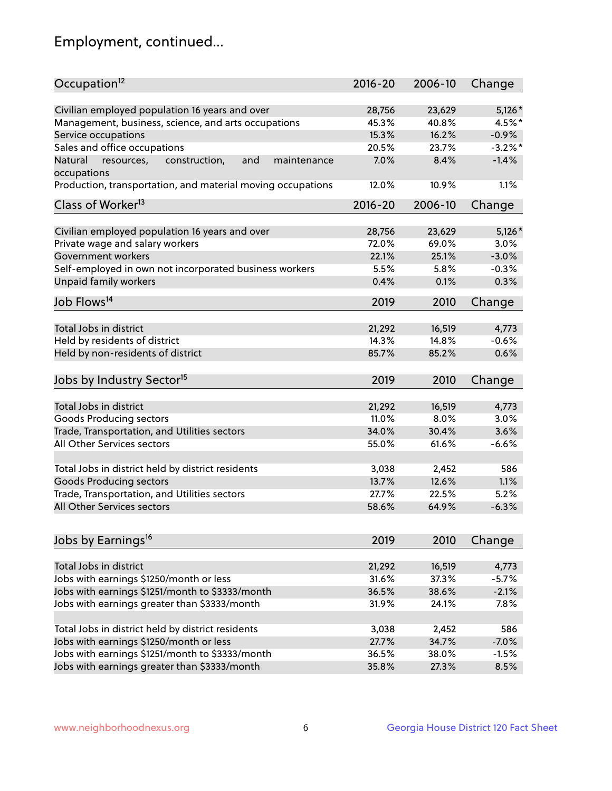## Employment, continued...

| Occupation <sup>12</sup>                                     | $2016 - 20$ | 2006-10 | Change     |
|--------------------------------------------------------------|-------------|---------|------------|
| Civilian employed population 16 years and over               | 28,756      | 23,629  | $5,126*$   |
| Management, business, science, and arts occupations          | 45.3%       | 40.8%   | 4.5%*      |
| Service occupations                                          | 15.3%       | 16.2%   | $-0.9%$    |
| Sales and office occupations                                 | 20.5%       | 23.7%   | $-3.2\%$ * |
| Natural<br>and<br>resources,<br>construction,<br>maintenance | 7.0%        | 8.4%    | $-1.4%$    |
| occupations                                                  |             |         |            |
| Production, transportation, and material moving occupations  | 12.0%       | 10.9%   | 1.1%       |
| Class of Worker <sup>13</sup>                                | $2016 - 20$ | 2006-10 | Change     |
|                                                              |             |         |            |
| Civilian employed population 16 years and over               | 28,756      | 23,629  | $5,126*$   |
| Private wage and salary workers                              | 72.0%       | 69.0%   | 3.0%       |
| Government workers                                           | 22.1%       | 25.1%   | $-3.0%$    |
| Self-employed in own not incorporated business workers       | 5.5%        | 5.8%    | $-0.3%$    |
| Unpaid family workers                                        | 0.4%        | 0.1%    | 0.3%       |
| Job Flows <sup>14</sup>                                      | 2019        | 2010    | Change     |
|                                                              |             |         |            |
| Total Jobs in district                                       | 21,292      | 16,519  | 4,773      |
| Held by residents of district                                | 14.3%       | 14.8%   | $-0.6%$    |
| Held by non-residents of district                            | 85.7%       | 85.2%   | 0.6%       |
| Jobs by Industry Sector <sup>15</sup>                        | 2019        | 2010    | Change     |
|                                                              |             |         |            |
| Total Jobs in district                                       | 21,292      | 16,519  | 4,773      |
| Goods Producing sectors                                      | 11.0%       | 8.0%    | 3.0%       |
| Trade, Transportation, and Utilities sectors                 | 34.0%       | 30.4%   | 3.6%       |
| All Other Services sectors                                   | 55.0%       | 61.6%   | $-6.6%$    |
| Total Jobs in district held by district residents            | 3,038       | 2,452   | 586        |
| <b>Goods Producing sectors</b>                               | 13.7%       | 12.6%   | 1.1%       |
| Trade, Transportation, and Utilities sectors                 | 27.7%       | 22.5%   | 5.2%       |
| All Other Services sectors                                   | 58.6%       | 64.9%   | $-6.3%$    |
|                                                              |             |         |            |
| Jobs by Earnings <sup>16</sup>                               | 2019        | 2010    | Change     |
| Total Jobs in district                                       |             |         |            |
|                                                              | 21,292      | 16,519  | 4,773      |
| Jobs with earnings \$1250/month or less                      | 31.6%       | 37.3%   | $-5.7%$    |
| Jobs with earnings \$1251/month to \$3333/month              | 36.5%       | 38.6%   | $-2.1%$    |
| Jobs with earnings greater than \$3333/month                 | 31.9%       | 24.1%   | 7.8%       |
| Total Jobs in district held by district residents            | 3,038       | 2,452   | 586        |
| Jobs with earnings \$1250/month or less                      | 27.7%       | 34.7%   | $-7.0%$    |
| Jobs with earnings \$1251/month to \$3333/month              | 36.5%       | 38.0%   | $-1.5%$    |
| Jobs with earnings greater than \$3333/month                 | 35.8%       | 27.3%   | 8.5%       |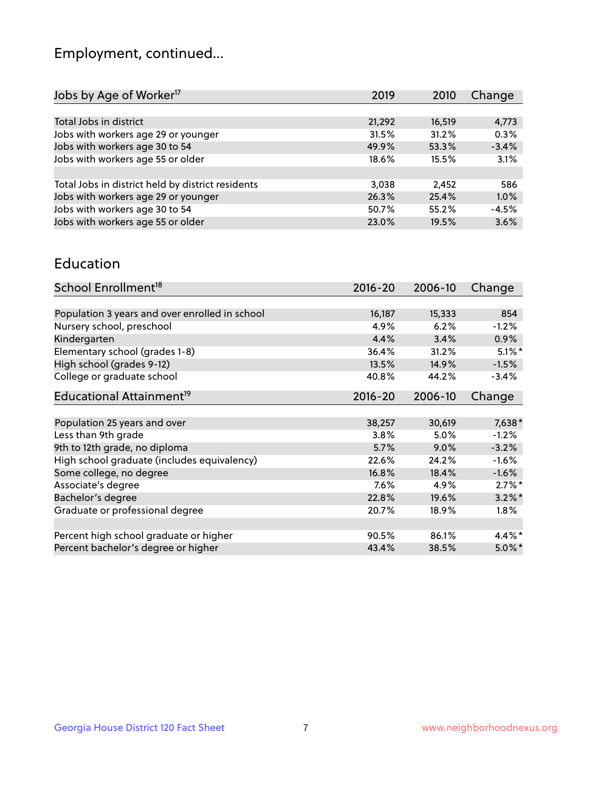## Employment, continued...

| 2019   | 2010   | Change  |
|--------|--------|---------|
|        |        |         |
| 21,292 | 16,519 | 4,773   |
| 31.5%  | 31.2%  | 0.3%    |
| 49.9%  | 53.3%  | $-3.4%$ |
| 18.6%  | 15.5%  | 3.1%    |
|        |        |         |
| 3,038  | 2.452  | 586     |
| 26.3%  | 25.4%  | 1.0%    |
| 50.7%  | 55.2%  | $-4.5%$ |
| 23.0%  | 19.5%  | 3.6%    |
|        |        |         |

#### Education

| School Enrollment <sup>18</sup>                | $2016 - 20$ | 2006-10 | Change    |
|------------------------------------------------|-------------|---------|-----------|
|                                                |             |         |           |
| Population 3 years and over enrolled in school | 16,187      | 15,333  | 854       |
| Nursery school, preschool                      | 4.9%        | 6.2%    | $-1.2%$   |
| Kindergarten                                   | 4.4%        | 3.4%    | 0.9%      |
| Elementary school (grades 1-8)                 | 36.4%       | 31.2%   | $5.1\%$ * |
| High school (grades 9-12)                      | 13.5%       | 14.9%   | $-1.5%$   |
| College or graduate school                     | 40.8%       | 44.2%   | $-3.4%$   |
| Educational Attainment <sup>19</sup>           | $2016 - 20$ | 2006-10 | Change    |
|                                                |             |         |           |
| Population 25 years and over                   | 38,257      | 30,619  | $7,638*$  |
| Less than 9th grade                            | 3.8%        | 5.0%    | $-1.2%$   |
| 9th to 12th grade, no diploma                  | 5.7%        | $9.0\%$ | $-3.2%$   |
| High school graduate (includes equivalency)    | 22.6%       | 24.2%   | $-1.6%$   |
| Some college, no degree                        | 16.8%       | 18.4%   | $-1.6%$   |
| Associate's degree                             | 7.6%        | 4.9%    | $2.7\%$ * |
| Bachelor's degree                              | 22.8%       | 19.6%   | $3.2\%$ * |
| Graduate or professional degree                | 20.7%       | 18.9%   | $1.8\%$   |
|                                                |             |         |           |
| Percent high school graduate or higher         | 90.5%       | 86.1%   | 4.4%*     |
| Percent bachelor's degree or higher            | 43.4%       | 38.5%   | $5.0\%$ * |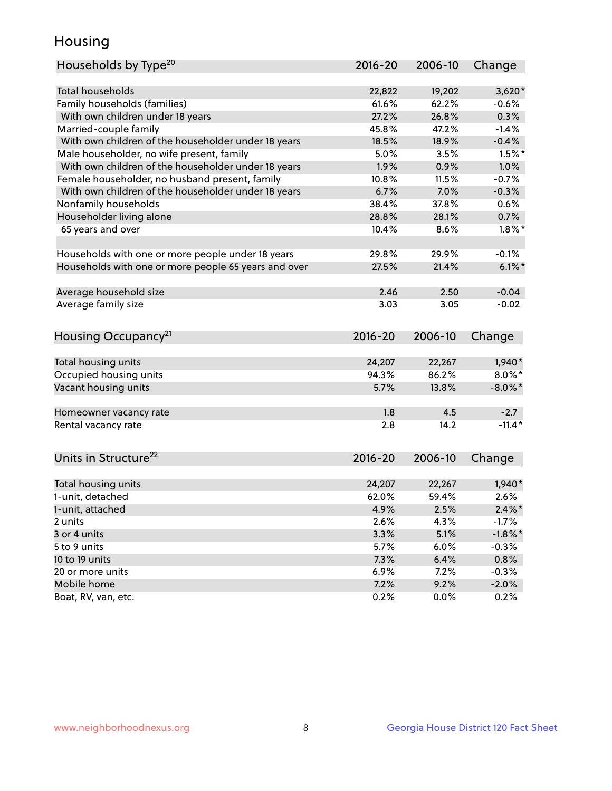## Housing

| Households by Type <sup>20</sup>                     | 2016-20      | 2006-10      | Change               |
|------------------------------------------------------|--------------|--------------|----------------------|
|                                                      |              |              |                      |
| Total households                                     | 22,822       | 19,202       | $3,620*$             |
| Family households (families)                         | 61.6%        | 62.2%        | $-0.6%$              |
| With own children under 18 years                     | 27.2%        | 26.8%        | 0.3%                 |
| Married-couple family                                | 45.8%        | 47.2%        | $-1.4%$              |
| With own children of the householder under 18 years  | 18.5%        | 18.9%        | $-0.4%$              |
| Male householder, no wife present, family            | 5.0%         | 3.5%         | $1.5%$ *             |
| With own children of the householder under 18 years  | 1.9%         | 0.9%         | 1.0%                 |
| Female householder, no husband present, family       | 10.8%        | 11.5%        | $-0.7%$              |
| With own children of the householder under 18 years  | 6.7%         | 7.0%         | $-0.3%$              |
| Nonfamily households                                 | 38.4%        | 37.8%        | 0.6%                 |
| Householder living alone                             | 28.8%        | 28.1%        | 0.7%                 |
| 65 years and over                                    | 10.4%        | 8.6%         | $1.8\%$ *            |
|                                                      |              |              |                      |
| Households with one or more people under 18 years    | 29.8%        | 29.9%        | $-0.1%$              |
| Households with one or more people 65 years and over | 27.5%        | 21.4%        | $6.1\%$              |
|                                                      |              |              |                      |
| Average household size                               | 2.46         | 2.50         | $-0.04$              |
| Average family size                                  | 3.03         | 3.05         | $-0.02$              |
|                                                      |              |              |                      |
| Housing Occupancy <sup>21</sup>                      | $2016 - 20$  | 2006-10      | Change               |
|                                                      |              |              |                      |
| Total housing units                                  | 24,207       | 22,267       | $1,940*$             |
| Occupied housing units                               | 94.3%        | 86.2%        | $8.0\%$ *            |
| Vacant housing units                                 | 5.7%         | 13.8%        | $-8.0\%$ *           |
|                                                      |              |              |                      |
| Homeowner vacancy rate                               | 1.8          | 4.5          | $-2.7$               |
| Rental vacancy rate                                  | 2.8          | 14.2         | $-11.4*$             |
|                                                      |              |              |                      |
|                                                      |              |              |                      |
| Units in Structure <sup>22</sup>                     | 2016-20      | 2006-10      | Change               |
| Total housing units                                  | 24,207       | 22,267       | $1,940*$             |
| 1-unit, detached                                     | 62.0%        | 59.4%        | 2.6%                 |
| 1-unit, attached                                     |              |              |                      |
|                                                      | 4.9%<br>2.6% | 2.5%<br>4.3% | $2.4\%$ *<br>$-1.7%$ |
| 2 units                                              |              |              |                      |
| 3 or 4 units                                         | 3.3%         | 5.1%         | $-1.8\%$ *           |
| 5 to 9 units                                         | 5.7%         | 6.0%         | $-0.3%$              |
| 10 to 19 units                                       | 7.3%         | 6.4%         | 0.8%                 |
| 20 or more units                                     | 6.9%         | 7.2%         | $-0.3%$              |
| Mobile home                                          | 7.2%         | 9.2%         | $-2.0%$              |
| Boat, RV, van, etc.                                  | 0.2%         | $0.0\%$      | 0.2%                 |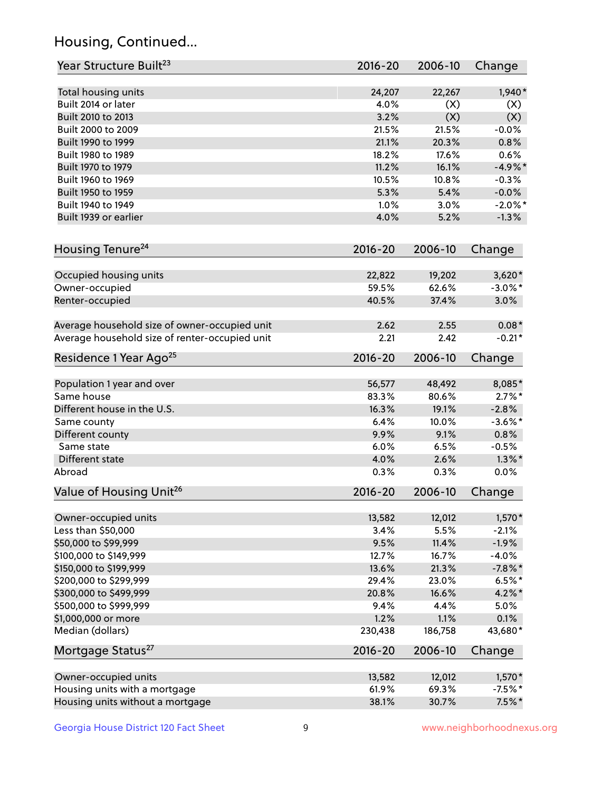## Housing, Continued...

| Year Structure Built <sup>23</sup>             | 2016-20     | 2006-10 | Change     |
|------------------------------------------------|-------------|---------|------------|
| Total housing units                            | 24,207      | 22,267  | $1,940*$   |
| Built 2014 or later                            | 4.0%        | (X)     | (X)        |
| Built 2010 to 2013                             | 3.2%        | (X)     | (X)        |
| Built 2000 to 2009                             | 21.5%       | 21.5%   | $-0.0%$    |
| Built 1990 to 1999                             | 21.1%       | 20.3%   | 0.8%       |
| Built 1980 to 1989                             | 18.2%       | 17.6%   | 0.6%       |
| Built 1970 to 1979                             | 11.2%       | 16.1%   | $-4.9%$ *  |
| Built 1960 to 1969                             | 10.5%       | 10.8%   | $-0.3%$    |
| Built 1950 to 1959                             | 5.3%        | 5.4%    | $-0.0%$    |
| Built 1940 to 1949                             | 1.0%        | 3.0%    | $-2.0\%$ * |
| Built 1939 or earlier                          | 4.0%        | 5.2%    | $-1.3%$    |
| Housing Tenure <sup>24</sup>                   | $2016 - 20$ | 2006-10 | Change     |
| Occupied housing units                         | 22,822      | 19,202  | $3,620*$   |
| Owner-occupied                                 | 59.5%       | 62.6%   | $-3.0\%$ * |
| Renter-occupied                                | 40.5%       | 37.4%   | 3.0%       |
| Average household size of owner-occupied unit  | 2.62        | 2.55    | $0.08*$    |
| Average household size of renter-occupied unit | 2.21        | 2.42    | $-0.21*$   |
| Residence 1 Year Ago <sup>25</sup>             | $2016 - 20$ | 2006-10 | Change     |
| Population 1 year and over                     | 56,577      | 48,492  | 8,085*     |
| Same house                                     | 83.3%       | 80.6%   | $2.7\%$ *  |
| Different house in the U.S.                    | 16.3%       | 19.1%   | $-2.8%$    |
| Same county                                    | 6.4%        | 10.0%   | $-3.6\%$ * |
| Different county                               | 9.9%        | 9.1%    | 0.8%       |
| Same state                                     | 6.0%        | 6.5%    | $-0.5%$    |
| Different state                                | 4.0%        | 2.6%    | $1.3\%$ *  |
| Abroad                                         | 0.3%        | 0.3%    | 0.0%       |
| Value of Housing Unit <sup>26</sup>            | $2016 - 20$ | 2006-10 | Change     |
| Owner-occupied units                           | 13,582      | 12,012  | $1,570*$   |
| Less than \$50,000                             | 3.4%        | 5.5%    | $-2.1%$    |
| \$50,000 to \$99,999                           | 9.5%        | 11.4%   | $-1.9%$    |
| \$100,000 to \$149,999                         | 12.7%       | 16.7%   | $-4.0%$    |
| \$150,000 to \$199,999                         | 13.6%       | 21.3%   | $-7.8\%$ * |
| \$200,000 to \$299,999                         | 29.4%       | 23.0%   | $6.5%$ *   |
| \$300,000 to \$499,999                         | 20.8%       | 16.6%   | $4.2\%$ *  |
| \$500,000 to \$999,999                         | 9.4%        | 4.4%    | 5.0%       |
| \$1,000,000 or more                            | 1.2%        | 1.1%    | 0.1%       |
| Median (dollars)                               | 230,438     | 186,758 | 43,680*    |
| Mortgage Status <sup>27</sup>                  | $2016 - 20$ | 2006-10 | Change     |
| Owner-occupied units                           | 13,582      | 12,012  | $1,570*$   |
| Housing units with a mortgage                  | 61.9%       | 69.3%   | $-7.5%$ *  |
| Housing units without a mortgage               | 38.1%       | 30.7%   | $7.5\%$ *  |
|                                                |             |         |            |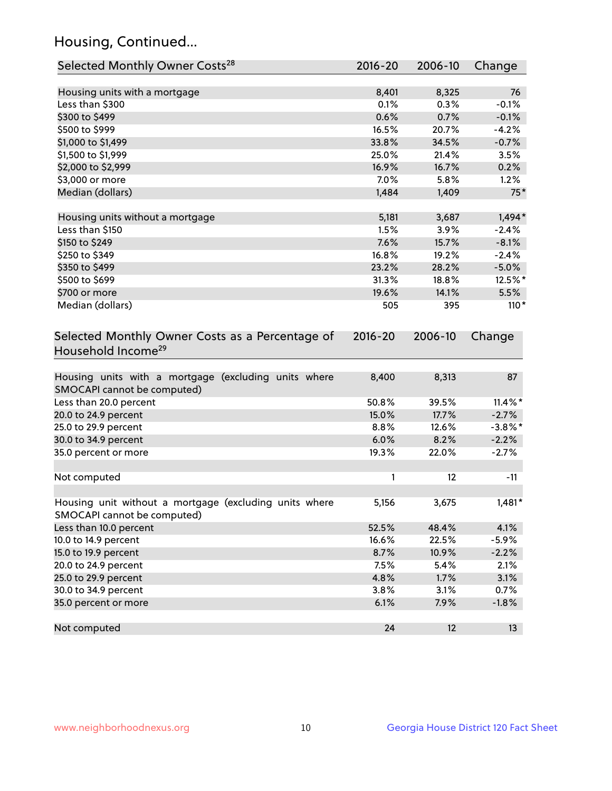## Housing, Continued...

| Selected Monthly Owner Costs <sup>28</sup>                                            | 2016-20 | 2006-10           | Change     |
|---------------------------------------------------------------------------------------|---------|-------------------|------------|
| Housing units with a mortgage                                                         | 8,401   | 8,325             | 76         |
| Less than \$300                                                                       | 0.1%    | 0.3%              | $-0.1%$    |
| \$300 to \$499                                                                        | 0.6%    | 0.7%              | $-0.1%$    |
| \$500 to \$999                                                                        | 16.5%   | 20.7%             | $-4.2%$    |
| \$1,000 to \$1,499                                                                    | 33.8%   | 34.5%             | $-0.7%$    |
| \$1,500 to \$1,999                                                                    | 25.0%   | 21.4%             | 3.5%       |
| \$2,000 to \$2,999                                                                    | 16.9%   | 16.7%             | 0.2%       |
| \$3,000 or more                                                                       | 7.0%    | 5.8%              | 1.2%       |
| Median (dollars)                                                                      | 1,484   | 1,409             | $75*$      |
| Housing units without a mortgage                                                      | 5,181   | 3,687             | $1,494*$   |
| Less than \$150                                                                       | 1.5%    | 3.9%              | $-2.4%$    |
| \$150 to \$249                                                                        | 7.6%    | 15.7%             | $-8.1%$    |
| \$250 to \$349                                                                        | 16.8%   | 19.2%             | $-2.4%$    |
| \$350 to \$499                                                                        | 23.2%   | 28.2%             | $-5.0\%$   |
| \$500 to \$699                                                                        | 31.3%   | 18.8%             | 12.5%*     |
| \$700 or more                                                                         | 19.6%   | 14.1%             | 5.5%       |
| Median (dollars)                                                                      | 505     | 395               | $110*$     |
| Household Income <sup>29</sup>                                                        |         |                   |            |
| Housing units with a mortgage (excluding units where<br>SMOCAPI cannot be computed)   | 8,400   | 8,313             | 87         |
| Less than 20.0 percent                                                                | 50.8%   | 39.5%             | $11.4\%$ * |
| 20.0 to 24.9 percent                                                                  | 15.0%   | 17.7%             | $-2.7%$    |
| 25.0 to 29.9 percent                                                                  | 8.8%    | 12.6%             | $-3.8\%$ * |
| 30.0 to 34.9 percent                                                                  | 6.0%    | 8.2%              | $-2.2%$    |
| 35.0 percent or more                                                                  | 19.3%   | 22.0%             | $-2.7%$    |
| Not computed                                                                          | 1       | $12 \overline{ }$ | $-11$      |
| Housing unit without a mortgage (excluding units where<br>SMOCAPI cannot be computed) | 5,156   | 3,675             | $1,481*$   |
| Less than 10.0 percent                                                                | 52.5%   | 48.4%             | 4.1%       |
| 10.0 to 14.9 percent                                                                  | 16.6%   | 22.5%             | $-5.9%$    |
| 15.0 to 19.9 percent                                                                  | 8.7%    | 10.9%             | $-2.2%$    |
| 20.0 to 24.9 percent                                                                  | 7.5%    | 5.4%              | 2.1%       |
| 25.0 to 29.9 percent                                                                  | 4.8%    | 1.7%              | 3.1%       |
| 30.0 to 34.9 percent                                                                  | 3.8%    | 3.1%              | 0.7%       |
| 35.0 percent or more                                                                  | 6.1%    | 7.9%              | $-1.8%$    |
| Not computed                                                                          | 24      | 12                | 13         |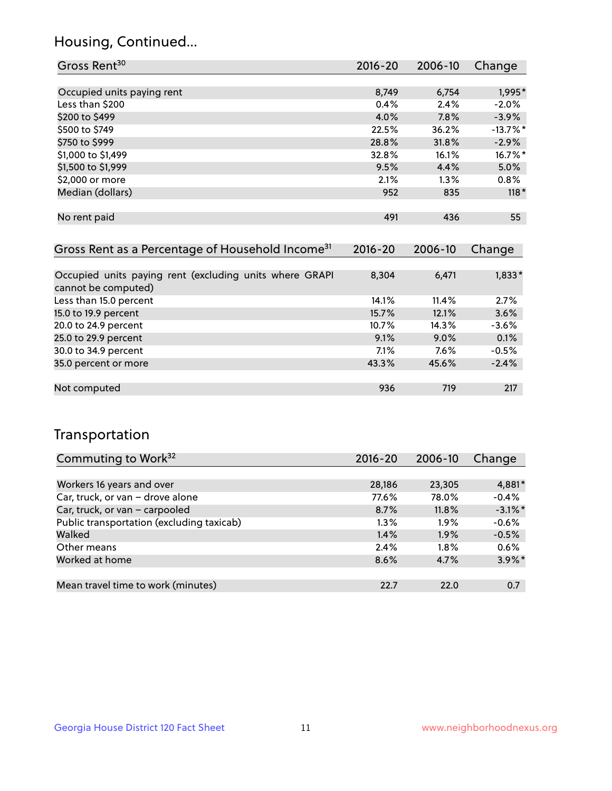## Housing, Continued...

| Gross Rent <sup>30</sup>                                     | 2016-20     | 2006-10 | Change     |
|--------------------------------------------------------------|-------------|---------|------------|
|                                                              |             |         |            |
| Occupied units paying rent                                   | 8,749       | 6,754   | 1,995*     |
| Less than \$200                                              | 0.4%        | 2.4%    | $-2.0%$    |
| \$200 to \$499                                               | 4.0%        | 7.8%    | $-3.9%$    |
| \$500 to \$749                                               | 22.5%       | 36.2%   | $-13.7%$ * |
| \$750 to \$999                                               | 28.8%       | 31.8%   | $-2.9%$    |
| \$1,000 to \$1,499                                           | 32.8%       | 16.1%   | $16.7\%$ * |
| \$1,500 to \$1,999                                           | 9.5%        | 4.4%    | 5.0%       |
| \$2,000 or more                                              | 2.1%        | $1.3\%$ | $0.8\%$    |
| Median (dollars)                                             | 952         | 835     | $118*$     |
|                                                              |             |         |            |
| No rent paid                                                 | 491         | 436     | 55         |
|                                                              |             |         |            |
| Gross Rent as a Percentage of Household Income <sup>31</sup> | $2016 - 20$ | 2006-10 | Change     |
|                                                              |             |         |            |
| Occupied units paying rent (excluding units where GRAPI      | 8,304       | 6,471   | $1,833*$   |

| cannot be computed)    |       |          |         |
|------------------------|-------|----------|---------|
| Less than 15.0 percent | 14.1% | $11.4\%$ | 2.7%    |
| 15.0 to 19.9 percent   | 15.7% | 12.1%    | 3.6%    |
| 20.0 to 24.9 percent   | 10.7% | 14.3%    | $-3.6%$ |
| 25.0 to 29.9 percent   | 9.1%  | $9.0\%$  | 0.1%    |
| 30.0 to 34.9 percent   | 7.1%  | $7.6\%$  | $-0.5%$ |
| 35.0 percent or more   | 43.3% | 45.6%    | $-2.4%$ |
|                        |       |          |         |
| Not computed           | 936   | 719      | 217     |

## Transportation

| Commuting to Work <sup>32</sup>           | 2016-20 | 2006-10 | Change     |
|-------------------------------------------|---------|---------|------------|
|                                           |         |         |            |
| Workers 16 years and over                 | 28,186  | 23,305  | 4,881*     |
| Car, truck, or van - drove alone          | 77.6%   | 78.0%   | $-0.4%$    |
| Car, truck, or van - carpooled            | 8.7%    | 11.8%   | $-3.1\%$ * |
| Public transportation (excluding taxicab) | $1.3\%$ | 1.9%    | $-0.6%$    |
| Walked                                    | 1.4%    | 1.9%    | $-0.5%$    |
| Other means                               | 2.4%    | $1.8\%$ | 0.6%       |
| Worked at home                            | 8.6%    | 4.7%    | $3.9\%$ *  |
|                                           |         |         |            |
| Mean travel time to work (minutes)        | 22.7    | 22.0    | 0.7        |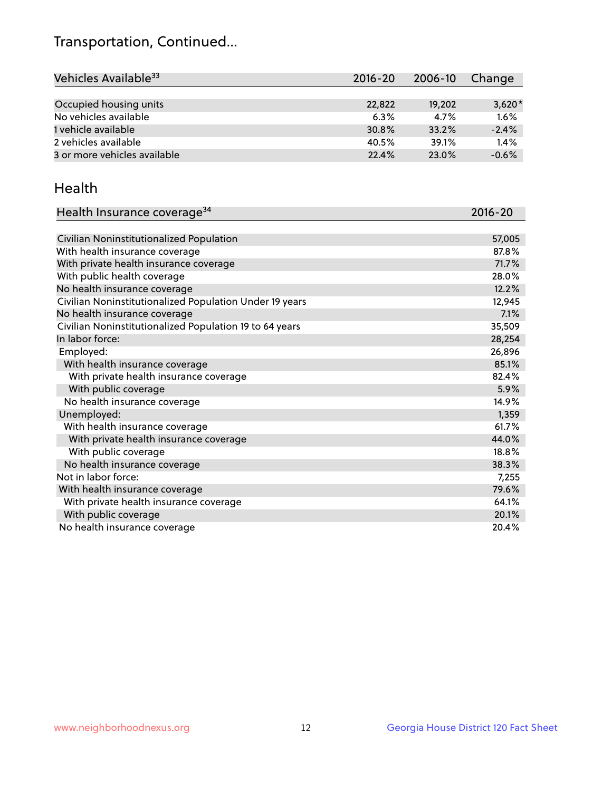## Transportation, Continued...

| Vehicles Available <sup>33</sup> | 2016-20 | 2006-10 | Change   |
|----------------------------------|---------|---------|----------|
|                                  |         |         |          |
| Occupied housing units           | 22,822  | 19,202  | $3,620*$ |
| No vehicles available            | 6.3%    | 4.7%    | 1.6%     |
| 1 vehicle available              | 30.8%   | 33.2%   | $-2.4%$  |
| 2 vehicles available             | 40.5%   | 39.1%   | 1.4%     |
| 3 or more vehicles available     | 22.4%   | 23.0%   | $-0.6%$  |

#### Health

| Health Insurance coverage <sup>34</sup>                 | 2016-20 |
|---------------------------------------------------------|---------|
|                                                         |         |
| Civilian Noninstitutionalized Population                | 57,005  |
| With health insurance coverage                          | 87.8%   |
| With private health insurance coverage                  | 71.7%   |
| With public health coverage                             | 28.0%   |
| No health insurance coverage                            | 12.2%   |
| Civilian Noninstitutionalized Population Under 19 years | 12,945  |
| No health insurance coverage                            | 7.1%    |
| Civilian Noninstitutionalized Population 19 to 64 years | 35,509  |
| In labor force:                                         | 28,254  |
| Employed:                                               | 26,896  |
| With health insurance coverage                          | 85.1%   |
| With private health insurance coverage                  | 82.4%   |
| With public coverage                                    | 5.9%    |
| No health insurance coverage                            | 14.9%   |
| Unemployed:                                             | 1,359   |
| With health insurance coverage                          | 61.7%   |
| With private health insurance coverage                  | 44.0%   |
| With public coverage                                    | 18.8%   |
| No health insurance coverage                            | 38.3%   |
| Not in labor force:                                     | 7,255   |
| With health insurance coverage                          | 79.6%   |
| With private health insurance coverage                  | 64.1%   |
| With public coverage                                    | 20.1%   |
| No health insurance coverage                            | 20.4%   |